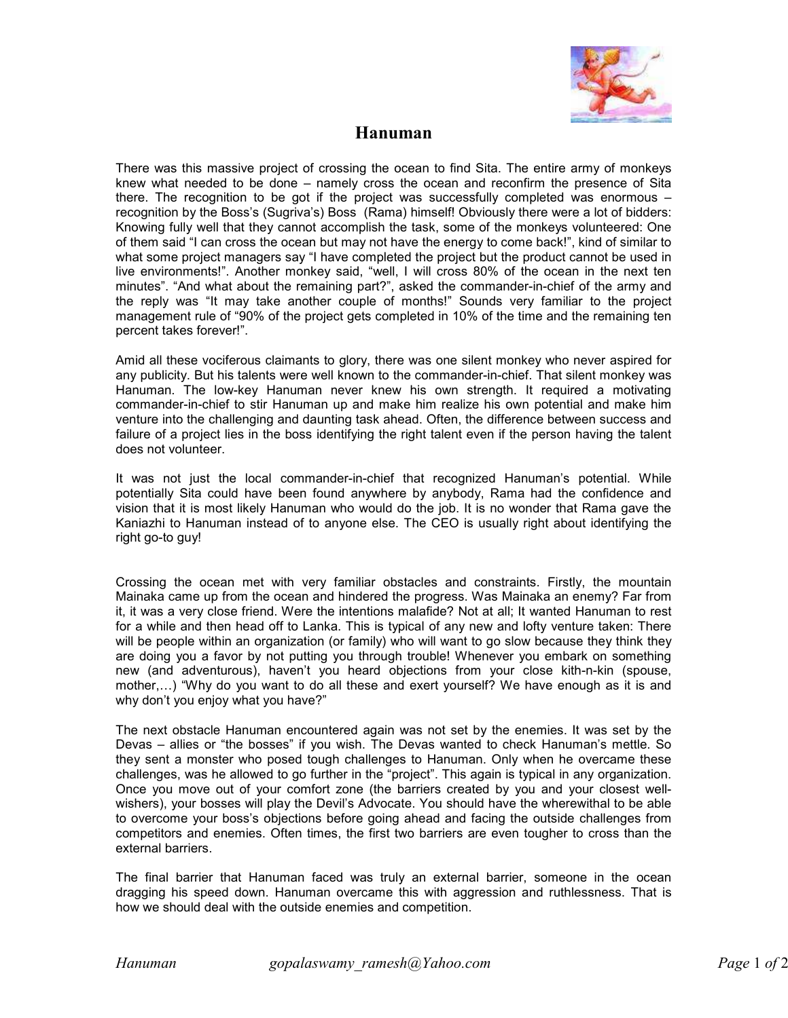

## **Hanuman**

There was this massive project of crossing the ocean to find Sita. The entire army of monkeys knew what needed to be done – namely cross the ocean and reconfirm the presence of Sita there. The recognition to be got if the project was successfully completed was enormous – recognition by the Boss's (Sugriva's) Boss (Rama) himself! Obviously there were a lot of bidders: Knowing fully well that they cannot accomplish the task, some of the monkeys volunteered: One of them said "I can cross the ocean but may not have the energy to come back!", kind of similar to what some project managers say "I have completed the project but the product cannot be used in live environments!". Another monkey said, "well, I will cross 80% of the ocean in the next ten minutes". "And what about the remaining part?", asked the commander-in-chief of the army and the reply was "It may take another couple of months!" Sounds very familiar to the project management rule of "90% of the project gets completed in 10% of the time and the remaining ten percent takes forever!".

Amid all these vociferous claimants to glory, there was one silent monkey who never aspired for any publicity. But his talents were well known to the commander-in-chief. That silent monkey was Hanuman. The low-key Hanuman never knew his own strength. It required a motivating commander-in-chief to stir Hanuman up and make him realize his own potential and make him venture into the challenging and daunting task ahead. Often, the difference between success and failure of a project lies in the boss identifying the right talent even if the person having the talent does not volunteer.

It was not just the local commander-in-chief that recognized Hanuman's potential. While potentially Sita could have been found anywhere by anybody, Rama had the confidence and vision that it is most likely Hanuman who would do the job. It is no wonder that Rama gave the Kaniazhi to Hanuman instead of to anyone else. The CEO is usually right about identifying the right go-to guy!

Crossing the ocean met with very familiar obstacles and constraints. Firstly, the mountain Mainaka came up from the ocean and hindered the progress. Was Mainaka an enemy? Far from it, it was a very close friend. Were the intentions malafide? Not at all; It wanted Hanuman to rest for a while and then head off to Lanka. This is typical of any new and lofty venture taken: There will be people within an organization (or family) who will want to go slow because they think they are doing you a favor by not putting you through trouble! Whenever you embark on something new (and adventurous), haven't you heard objections from your close kith-n-kin (spouse, mother,…) "Why do you want to do all these and exert yourself? We have enough as it is and why don't you enjoy what you have?"

The next obstacle Hanuman encountered again was not set by the enemies. It was set by the Devas – allies or "the bosses" if you wish. The Devas wanted to check Hanuman's mettle. So they sent a monster who posed tough challenges to Hanuman. Only when he overcame these challenges, was he allowed to go further in the "project". This again is typical in any organization. Once you move out of your comfort zone (the barriers created by you and your closest wellwishers), your bosses will play the Devil's Advocate. You should have the wherewithal to be able to overcome your boss's objections before going ahead and facing the outside challenges from competitors and enemies. Often times, the first two barriers are even tougher to cross than the external barriers.

The final barrier that Hanuman faced was truly an external barrier, someone in the ocean dragging his speed down. Hanuman overcame this with aggression and ruthlessness. That is how we should deal with the outside enemies and competition.